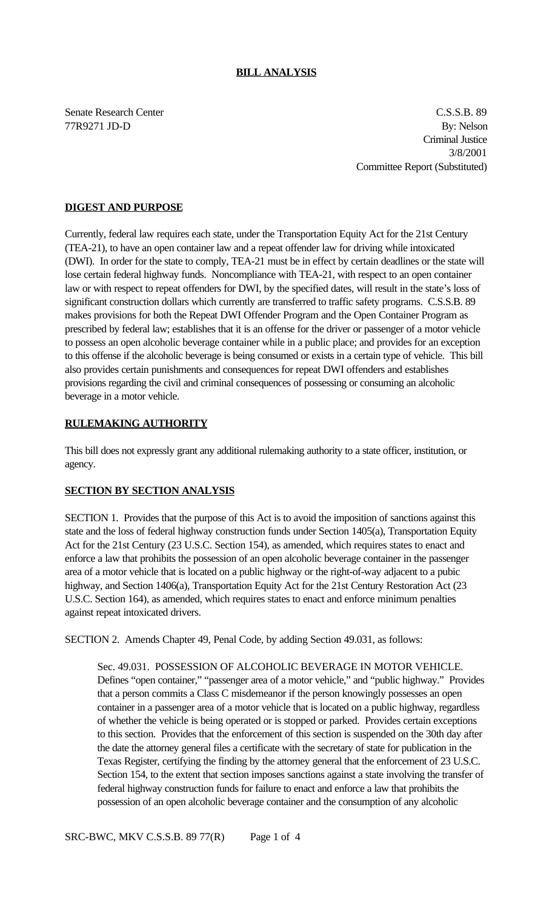### **BILL ANALYSIS**

Senate Research Center Cassets and C.S.S.B. 89 77R9271 JD-D By: Nelson Criminal Justice 3/8/2001 Committee Report (Substituted)

# **DIGEST AND PURPOSE**

Currently, federal law requires each state, under the Transportation Equity Act for the 21st Century (TEA-21), to have an open container law and a repeat offender law for driving while intoxicated (DWI). In order for the state to comply, TEA-21 must be in effect by certain deadlines or the state will lose certain federal highway funds. Noncompliance with TEA-21, with respect to an open container law or with respect to repeat offenders for DWI, by the specified dates, will result in the state's loss of significant construction dollars which currently are transferred to traffic safety programs. C.S.S.B. 89 makes provisions for both the Repeat DWI Offender Program and the Open Container Program as prescribed by federal law; establishes that it is an offense for the driver or passenger of a motor vehicle to possess an open alcoholic beverage container while in a public place; and provides for an exception to this offense if the alcoholic beverage is being consumed or exists in a certain type of vehicle. This bill also provides certain punishments and consequences for repeat DWI offenders and establishes provisions regarding the civil and criminal consequences of possessing or consuming an alcoholic beverage in a motor vehicle.

#### **RULEMAKING AUTHORITY**

This bill does not expressly grant any additional rulemaking authority to a state officer, institution, or agency.

## **SECTION BY SECTION ANALYSIS**

SECTION 1. Provides that the purpose of this Act is to avoid the imposition of sanctions against this state and the loss of federal highway construction funds under Section 1405(a), Transportation Equity Act for the 21st Century (23 U.S.C. Section 154), as amended, which requires states to enact and enforce a law that prohibits the possession of an open alcoholic beverage container in the passenger area of a motor vehicle that is located on a public highway or the right-of-way adjacent to a pubic highway, and Section 1406(a), Transportation Equity Act for the 21st Century Restoration Act (23 U.S.C. Section 164), as amended, which requires states to enact and enforce minimum penalties against repeat intoxicated drivers.

SECTION 2. Amends Chapter 49, Penal Code, by adding Section 49.031, as follows:

Sec. 49.031. POSSESSION OF ALCOHOLIC BEVERAGE IN MOTOR VEHICLE. Defines "open container," "passenger area of a motor vehicle," and "public highway." Provides that a person commits a Class C misdemeanor if the person knowingly possesses an open container in a passenger area of a motor vehicle that is located on a public highway, regardless of whether the vehicle is being operated or is stopped or parked. Provides certain exceptions to this section. Provides that the enforcement of this section is suspended on the 30th day after the date the attorney general files a certificate with the secretary of state for publication in the Texas Register, certifying the finding by the attorney general that the enforcement of 23 U.S.C. Section 154, to the extent that section imposes sanctions against a state involving the transfer of federal highway construction funds for failure to enact and enforce a law that prohibits the possession of an open alcoholic beverage container and the consumption of any alcoholic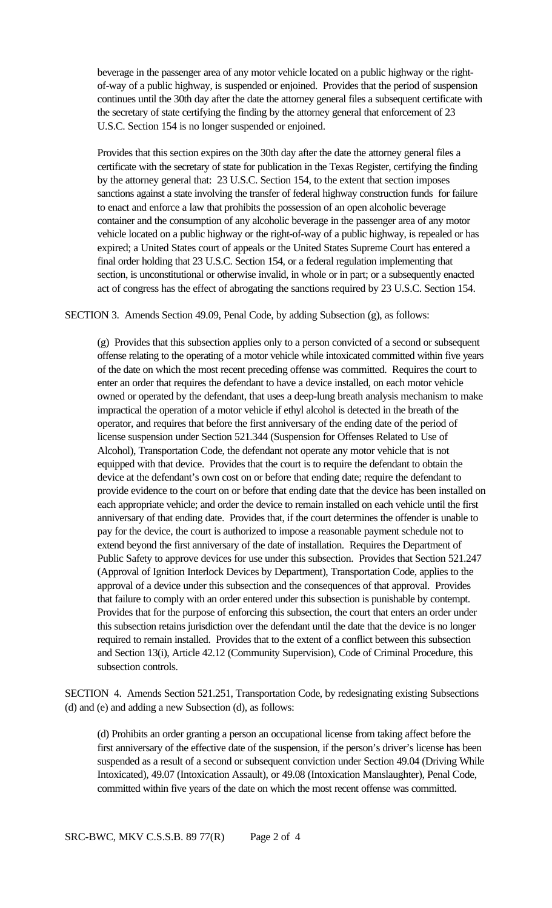beverage in the passenger area of any motor vehicle located on a public highway or the rightof-way of a public highway, is suspended or enjoined. Provides that the period of suspension continues until the 30th day after the date the attorney general files a subsequent certificate with the secretary of state certifying the finding by the attorney general that enforcement of 23 U.S.C. Section 154 is no longer suspended or enjoined.

Provides that this section expires on the 30th day after the date the attorney general files a certificate with the secretary of state for publication in the Texas Register, certifying the finding by the attorney general that: 23 U.S.C. Section 154, to the extent that section imposes sanctions against a state involving the transfer of federal highway construction funds for failure to enact and enforce a law that prohibits the possession of an open alcoholic beverage container and the consumption of any alcoholic beverage in the passenger area of any motor vehicle located on a public highway or the right-of-way of a public highway, is repealed or has expired; a United States court of appeals or the United States Supreme Court has entered a final order holding that 23 U.S.C. Section 154, or a federal regulation implementing that section, is unconstitutional or otherwise invalid, in whole or in part; or a subsequently enacted act of congress has the effect of abrogating the sanctions required by 23 U.S.C. Section 154.

SECTION 3. Amends Section 49.09, Penal Code, by adding Subsection (g), as follows:

(g) Provides that this subsection applies only to a person convicted of a second or subsequent offense relating to the operating of a motor vehicle while intoxicated committed within five years of the date on which the most recent preceding offense was committed. Requires the court to enter an order that requires the defendant to have a device installed, on each motor vehicle owned or operated by the defendant, that uses a deep-lung breath analysis mechanism to make impractical the operation of a motor vehicle if ethyl alcohol is detected in the breath of the operator, and requires that before the first anniversary of the ending date of the period of license suspension under Section 521.344 (Suspension for Offenses Related to Use of Alcohol), Transportation Code, the defendant not operate any motor vehicle that is not equipped with that device. Provides that the court is to require the defendant to obtain the device at the defendant's own cost on or before that ending date; require the defendant to provide evidence to the court on or before that ending date that the device has been installed on each appropriate vehicle; and order the device to remain installed on each vehicle until the first anniversary of that ending date. Provides that, if the court determines the offender is unable to pay for the device, the court is authorized to impose a reasonable payment schedule not to extend beyond the first anniversary of the date of installation. Requires the Department of Public Safety to approve devices for use under this subsection. Provides that Section 521.247 (Approval of Ignition Interlock Devices by Department), Transportation Code, applies to the approval of a device under this subsection and the consequences of that approval. Provides that failure to comply with an order entered under this subsection is punishable by contempt. Provides that for the purpose of enforcing this subsection, the court that enters an order under this subsection retains jurisdiction over the defendant until the date that the device is no longer required to remain installed. Provides that to the extent of a conflict between this subsection and Section 13(i), Article 42.12 (Community Supervision), Code of Criminal Procedure, this subsection controls.

SECTION 4. Amends Section 521.251, Transportation Code, by redesignating existing Subsections (d) and (e) and adding a new Subsection (d), as follows:

(d) Prohibits an order granting a person an occupational license from taking affect before the first anniversary of the effective date of the suspension, if the person's driver's license has been suspended as a result of a second or subsequent conviction under Section 49.04 (Driving While Intoxicated), 49.07 (Intoxication Assault), or 49.08 (Intoxication Manslaughter), Penal Code, committed within five years of the date on which the most recent offense was committed.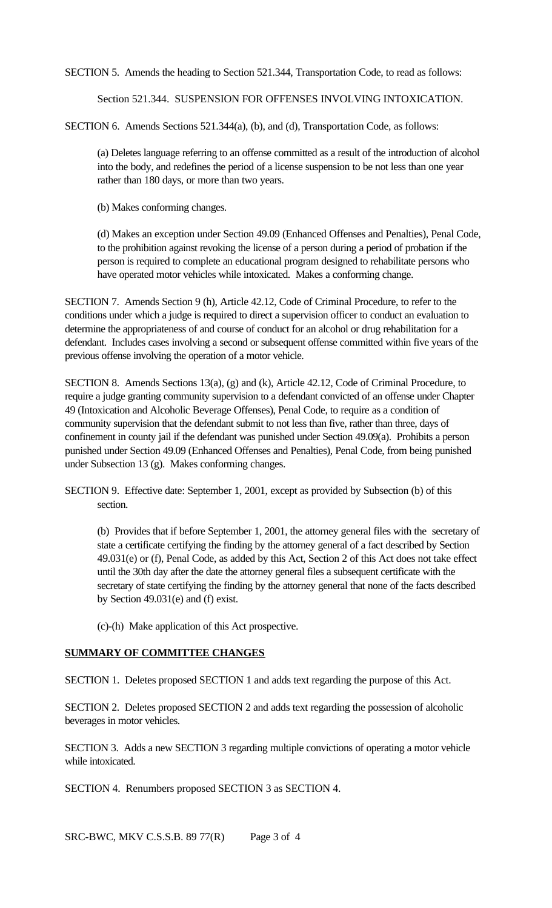SECTION 5. Amends the heading to Section 521.344, Transportation Code, to read as follows:

Section 521.344. SUSPENSION FOR OFFENSES INVOLVING INTOXICATION.

SECTION 6. Amends Sections 521.344(a), (b), and (d), Transportation Code, as follows:

(a) Deletes language referring to an offense committed as a result of the introduction of alcohol into the body, and redefines the period of a license suspension to be not less than one year rather than 180 days, or more than two years.

(b) Makes conforming changes.

(d) Makes an exception under Section 49.09 (Enhanced Offenses and Penalties), Penal Code, to the prohibition against revoking the license of a person during a period of probation if the person is required to complete an educational program designed to rehabilitate persons who have operated motor vehicles while intoxicated. Makes a conforming change.

SECTION 7. Amends Section 9 (h), Article 42.12, Code of Criminal Procedure, to refer to the conditions under which a judge is required to direct a supervision officer to conduct an evaluation to determine the appropriateness of and course of conduct for an alcohol or drug rehabilitation for a defendant. Includes cases involving a second or subsequent offense committed within five years of the previous offense involving the operation of a motor vehicle.

SECTION 8. Amends Sections 13(a), (g) and (k), Article 42.12, Code of Criminal Procedure, to require a judge granting community supervision to a defendant convicted of an offense under Chapter 49 (Intoxication and Alcoholic Beverage Offenses), Penal Code, to require as a condition of community supervision that the defendant submit to not less than five, rather than three, days of confinement in county jail if the defendant was punished under Section 49.09(a). Prohibits a person punished under Section 49.09 (Enhanced Offenses and Penalties), Penal Code, from being punished under Subsection 13 (g). Makes conforming changes.

SECTION 9. Effective date: September 1, 2001, except as provided by Subsection (b) of this section.

(b) Provides that if before September 1, 2001, the attorney general files with the secretary of state a certificate certifying the finding by the attorney general of a fact described by Section 49.031(e) or (f), Penal Code, as added by this Act, Section 2 of this Act does not take effect until the 30th day after the date the attorney general files a subsequent certificate with the secretary of state certifying the finding by the attorney general that none of the facts described by Section 49.031(e) and (f) exist.

(c)-(h) Make application of this Act prospective.

## **SUMMARY OF COMMITTEE CHANGES**

SECTION 1. Deletes proposed SECTION 1 and adds text regarding the purpose of this Act.

SECTION 2. Deletes proposed SECTION 2 and adds text regarding the possession of alcoholic beverages in motor vehicles.

SECTION 3. Adds a new SECTION 3 regarding multiple convictions of operating a motor vehicle while intoxicated.

SECTION 4. Renumbers proposed SECTION 3 as SECTION 4.